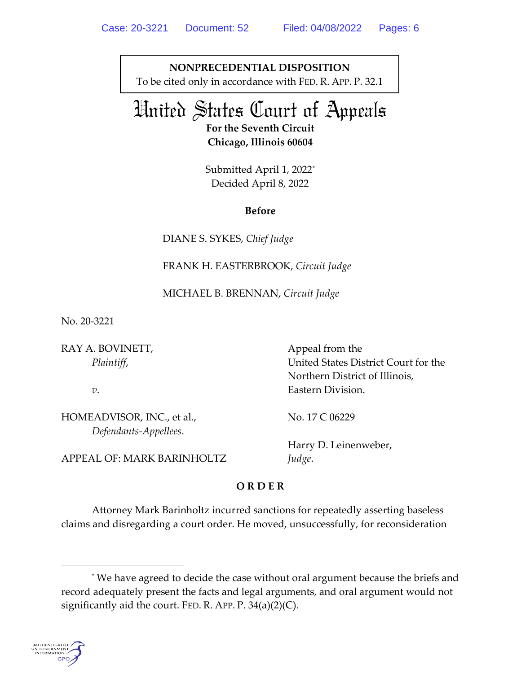**NONPRECEDENTIAL DISPOSITION** To be cited only in accordance with FED. R. APP. P. 32.1

# United States Court of Appeals

**For the Seventh Circuit Chicago, Illinois 60604**

Submitted April 1, 2022[\\*](#page-0-0) Decided April 8, 2022

**Before**

DIANE S. SYKES, *Chief Judge*

FRANK H. EASTERBROOK, *Circuit Judge*

MICHAEL B. BRENNAN, *Circuit Judge*

No. 20-3221

RAY A. BOVINETT, *Plaintiff*,

*v*.

HOMEADVISOR, INC., et al., *Defendants-Appellees*.

Appeal from the United States District Court for the Northern District of Illinois, Eastern Division.

No. 17 C 06229

Harry D. Leinenweber, *Judge*.

APPEAL OF: MARK BARINHOLTZ

## **O R D E R**

Attorney Mark Barinholtz incurred sanctions for repeatedly asserting baseless claims and disregarding a court order. He moved, unsuccessfully, for reconsideration

<span id="page-0-0"></span><sup>\*</sup> We have agreed to decide the case without oral argument because the briefs and record adequately present the facts and legal arguments, and oral argument would not significantly aid the court. FED. R. APP.  $P. 34(a)(2)(C)$ .

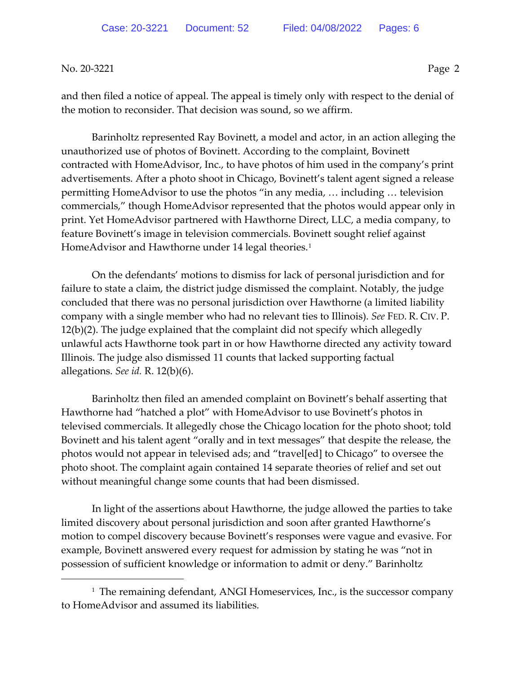and then filed a notice of appeal. The appeal is timely only with respect to the denial of the motion to reconsider. That decision was sound, so we affirm.

Barinholtz represented Ray Bovinett, a model and actor, in an action alleging the unauthorized use of photos of Bovinett. According to the complaint, Bovinett contracted with HomeAdvisor, Inc., to have photos of him used in the company's print advertisements. After a photo shoot in Chicago, Bovinett's talent agent signed a release permitting HomeAdvisor to use the photos "in any media, … including … television commercials," though HomeAdvisor represented that the photos would appear only in print. Yet HomeAdvisor partnered with Hawthorne Direct, LLC, a media company, to feature Bovinett's image in television commercials. Bovinett sought relief against HomeAdvisor and Hawthorne under [1](#page-1-0)4 legal theories.<sup>1</sup>

On the defendants' motions to dismiss for lack of personal jurisdiction and for failure to state a claim, the district judge dismissed the complaint. Notably, the judge concluded that there was no personal jurisdiction over Hawthorne (a limited liability company with a single member who had no relevant ties to Illinois). *See* FED. R. CIV. P. 12(b)(2). The judge explained that the complaint did not specify which allegedly unlawful acts Hawthorne took part in or how Hawthorne directed any activity toward Illinois. The judge also dismissed 11 counts that lacked supporting factual allegations. *See id.* R. 12(b)(6).

Barinholtz then filed an amended complaint on Bovinett's behalf asserting that Hawthorne had "hatched a plot" with HomeAdvisor to use Bovinett's photos in televised commercials. It allegedly chose the Chicago location for the photo shoot; told Bovinett and his talent agent "orally and in text messages" that despite the release, the photos would not appear in televised ads; and "travel[ed] to Chicago" to oversee the photo shoot. The complaint again contained 14 separate theories of relief and set out without meaningful change some counts that had been dismissed.

In light of the assertions about Hawthorne, the judge allowed the parties to take limited discovery about personal jurisdiction and soon after granted Hawthorne's motion to compel discovery because Bovinett's responses were vague and evasive. For example, Bovinett answered every request for admission by stating he was "not in possession of sufficient knowledge or information to admit or deny." Barinholtz

<span id="page-1-0"></span><sup>&</sup>lt;sup>1</sup> The remaining defendant, ANGI Homeservices, Inc., is the successor company to HomeAdvisor and assumed its liabilities.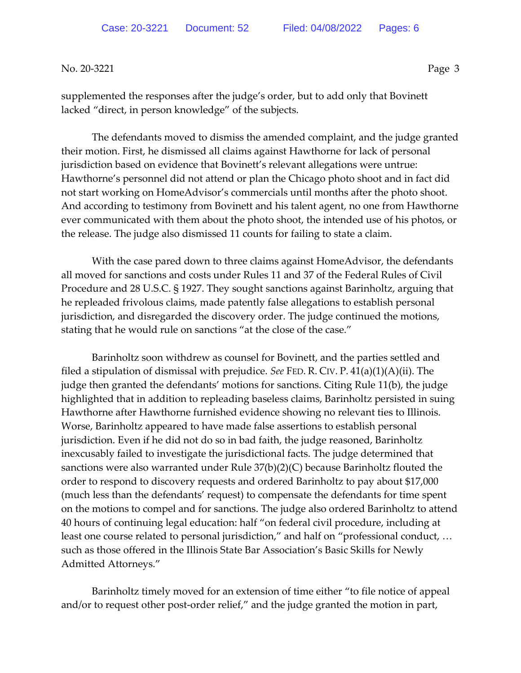supplemented the responses after the judge's order, but to add only that Bovinett lacked "direct, in person knowledge" of the subjects.

The defendants moved to dismiss the amended complaint, and the judge granted their motion. First, he dismissed all claims against Hawthorne for lack of personal jurisdiction based on evidence that Bovinett's relevant allegations were untrue: Hawthorne's personnel did not attend or plan the Chicago photo shoot and in fact did not start working on HomeAdvisor's commercials until months after the photo shoot. And according to testimony from Bovinett and his talent agent, no one from Hawthorne ever communicated with them about the photo shoot, the intended use of his photos, or the release. The judge also dismissed 11 counts for failing to state a claim.

With the case pared down to three claims against HomeAdvisor, the defendants all moved for sanctions and costs under Rules 11 and 37 of the Federal Rules of Civil Procedure and 28 U.S.C. § 1927. They sought sanctions against Barinholtz, arguing that he repleaded frivolous claims, made patently false allegations to establish personal jurisdiction, and disregarded the discovery order. The judge continued the motions, stating that he would rule on sanctions "at the close of the case."

Barinholtz soon withdrew as counsel for Bovinett, and the parties settled and filed a stipulation of dismissal with prejudice. *See* FED. R. CIV. P. 41(a)(1)(A)(ii). The judge then granted the defendants' motions for sanctions. Citing Rule 11(b), the judge highlighted that in addition to repleading baseless claims, Barinholtz persisted in suing Hawthorne after Hawthorne furnished evidence showing no relevant ties to Illinois. Worse, Barinholtz appeared to have made false assertions to establish personal jurisdiction. Even if he did not do so in bad faith, the judge reasoned, Barinholtz inexcusably failed to investigate the jurisdictional facts. The judge determined that sanctions were also warranted under Rule 37(b)(2)(C) because Barinholtz flouted the order to respond to discovery requests and ordered Barinholtz to pay about \$17,000 (much less than the defendants' request) to compensate the defendants for time spent on the motions to compel and for sanctions. The judge also ordered Barinholtz to attend 40 hours of continuing legal education: half "on federal civil procedure, including at least one course related to personal jurisdiction," and half on "professional conduct, … such as those offered in the Illinois State Bar Association's Basic Skills for Newly Admitted Attorneys."

Barinholtz timely moved for an extension of time either "to file notice of appeal and/or to request other post-order relief," and the judge granted the motion in part,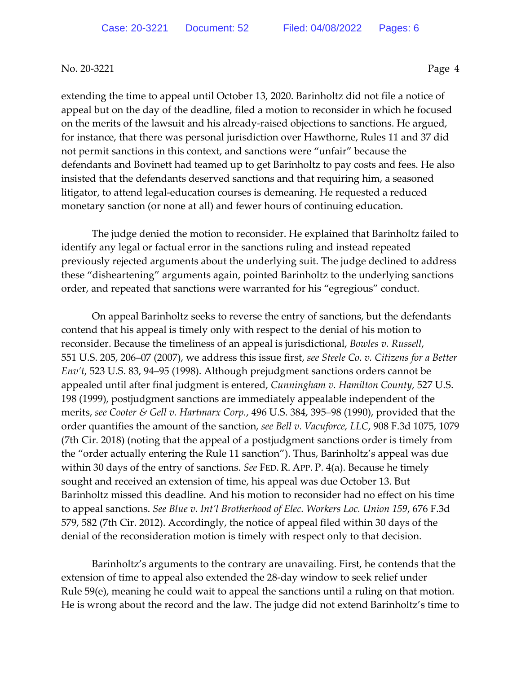extending the time to appeal until October 13, 2020. Barinholtz did not file a notice of appeal but on the day of the deadline, filed a motion to reconsider in which he focused on the merits of the lawsuit and his already-raised objections to sanctions. He argued, for instance, that there was personal jurisdiction over Hawthorne, Rules 11 and 37 did not permit sanctions in this context, and sanctions were "unfair" because the defendants and Bovinett had teamed up to get Barinholtz to pay costs and fees. He also insisted that the defendants deserved sanctions and that requiring him, a seasoned litigator, to attend legal-education courses is demeaning. He requested a reduced monetary sanction (or none at all) and fewer hours of continuing education.

The judge denied the motion to reconsider. He explained that Barinholtz failed to identify any legal or factual error in the sanctions ruling and instead repeated previously rejected arguments about the underlying suit. The judge declined to address these "disheartening" arguments again, pointed Barinholtz to the underlying sanctions order, and repeated that sanctions were warranted for his "egregious" conduct.

On appeal Barinholtz seeks to reverse the entry of sanctions, but the defendants contend that his appeal is timely only with respect to the denial of his motion to reconsider. Because the timeliness of an appeal is jurisdictional, *Bowles v. Russell*, 551 U.S. 205, 206–07 (2007), we address this issue first, *see Steele Co*. *v. Citizens for a Better Env't*, 523 U.S. 83, 94–95 (1998). Although prejudgment sanctions orders cannot be appealed until after final judgment is entered, *Cunningham v. Hamilton County*, 527 U.S. 198 (1999), postjudgment sanctions are immediately appealable independent of the merits, *see Cooter & Gell v. Hartmarx Corp.*, 496 U.S. 384, 395–98 (1990), provided that the order quantifies the amount of the sanction, *see Bell v. Vacuforce, LLC*, 908 F.3d 1075, 1079 (7th Cir. 2018) (noting that the appeal of a postjudgment sanctions order is timely from the "order actually entering the Rule 11 sanction"). Thus, Barinholtz's appeal was due within 30 days of the entry of sanctions. *See* FED. R. APP. P. 4(a). Because he timely sought and received an extension of time, his appeal was due October 13. But Barinholtz missed this deadline. And his motion to reconsider had no effect on his time to appeal sanctions. *See Blue v. Int'l Brotherhood of Elec. Workers Loc. Union 159*, 676 F.3d 579, 582 (7th Cir. 2012). Accordingly, the notice of appeal filed within 30 days of the denial of the reconsideration motion is timely with respect only to that decision.

Barinholtz's arguments to the contrary are unavailing. First, he contends that the extension of time to appeal also extended the 28-day window to seek relief under Rule 59(e), meaning he could wait to appeal the sanctions until a ruling on that motion. He is wrong about the record and the law. The judge did not extend Barinholtz's time to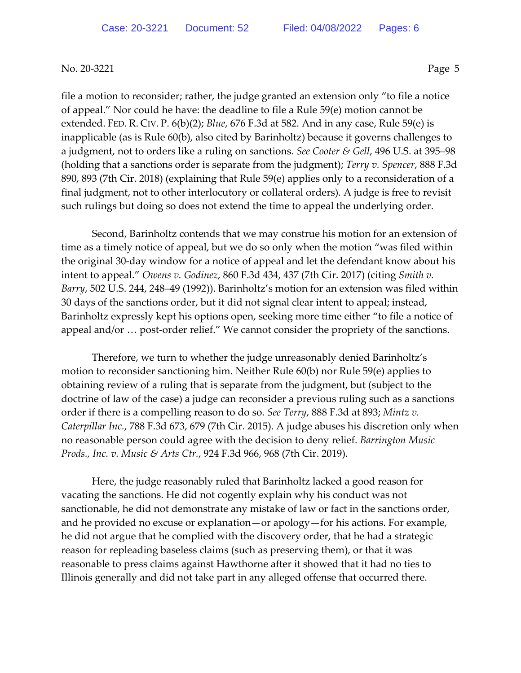file a motion to reconsider; rather, the judge granted an extension only "to file a notice of appeal." Nor could he have: the deadline to file a Rule 59(e) motion cannot be extended. FED. R. CIV. P. 6(b)(2); *Blue*, 676 F.3d at 582. And in any case, Rule 59(e) is inapplicable (as is Rule 60(b), also cited by Barinholtz) because it governs challenges to a judgment, not to orders like a ruling on sanctions. *See Cooter & Gell*, 496 U.S. at 395–98 (holding that a sanctions order is separate from the judgment); *Terry v. Spencer*, 888 F.3d 890, 893 (7th Cir. 2018) (explaining that Rule 59(e) applies only to a reconsideration of a final judgment, not to other interlocutory or collateral orders). A judge is free to revisit such rulings but doing so does not extend the time to appeal the underlying order.

Second, Barinholtz contends that we may construe his motion for an extension of time as a timely notice of appeal, but we do so only when the motion "was filed within the original 30-day window for a notice of appeal and let the defendant know about his intent to appeal." *Owens v. Godinez*, 860 F.3d 434, 437 (7th Cir. 2017) (citing *Smith v. Barry*, 502 U.S. 244, 248–49 (1992)). Barinholtz's motion for an extension was filed within 30 days of the sanctions order, but it did not signal clear intent to appeal; instead, Barinholtz expressly kept his options open, seeking more time either "to file a notice of appeal and/or … post-order relief." We cannot consider the propriety of the sanctions.

Therefore, we turn to whether the judge unreasonably denied Barinholtz's motion to reconsider sanctioning him. Neither Rule 60(b) nor Rule 59(e) applies to obtaining review of a ruling that is separate from the judgment, but (subject to the doctrine of law of the case) a judge can reconsider a previous ruling such as a sanctions order if there is a compelling reason to do so. *See Terry*, 888 F.3d at 893; *Mintz v. Caterpillar Inc.*, 788 F.3d 673, 679 (7th Cir. 2015). A judge abuses his discretion only when no reasonable person could agree with the decision to deny relief. *Barrington Music Prods., Inc. v. Music & Arts Ctr.*, 924 F.3d 966, 968 (7th Cir. 2019).

Here, the judge reasonably ruled that Barinholtz lacked a good reason for vacating the sanctions. He did not cogently explain why his conduct was not sanctionable, he did not demonstrate any mistake of law or fact in the sanctions order, and he provided no excuse or explanation—or apology—for his actions. For example, he did not argue that he complied with the discovery order, that he had a strategic reason for repleading baseless claims (such as preserving them), or that it was reasonable to press claims against Hawthorne after it showed that it had no ties to Illinois generally and did not take part in any alleged offense that occurred there.